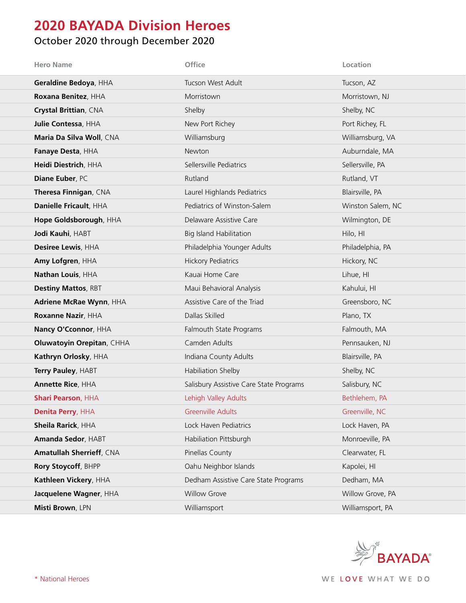## **2020 BAYADA Division Heroes**

## October 2020 through December 2020

| <b>Hero Name</b>                 | Office                                  | Location          |
|----------------------------------|-----------------------------------------|-------------------|
| Geraldine Bedoya, HHA            | Tucson West Adult                       | Tucson, AZ        |
| Roxana Benitez, HHA              | Morristown                              | Morristown, NJ    |
| Crystal Brittian, CNA            | Shelby                                  | Shelby, NC        |
| Julie Contessa, HHA              | New Port Richey                         | Port Richey, FL   |
| Maria Da Silva Woll, CNA         | Williamsburg                            | Williamsburg, VA  |
| Fanaye Desta, HHA                | Newton                                  | Auburndale, MA    |
| Heidi Diestrich, HHA             | Sellersville Pediatrics                 | Sellersville, PA  |
| Diane Euber, PC                  | Rutland                                 | Rutland, VT       |
| Theresa Finnigan, CNA            | Laurel Highlands Pediatrics             | Blairsville, PA   |
| Danielle Fricault, HHA           | Pediatrics of Winston-Salem             | Winston Salem, NC |
| Hope Goldsborough, HHA           | Delaware Assistive Care                 | Wilmington, DE    |
| Jodi Kauhi, HABT                 | <b>Big Island Habilitation</b>          | Hilo, HI          |
| Desiree Lewis, HHA               | Philadelphia Younger Adults             | Philadelphia, PA  |
| Amy Lofgren, HHA                 | <b>Hickory Pediatrics</b>               | Hickory, NC       |
| Nathan Louis, HHA                | Kauai Home Care                         | Lihue, HI         |
| <b>Destiny Mattos, RBT</b>       | Maui Behavioral Analysis                | Kahului, HI       |
| Adriene McRae Wynn, HHA          | Assistive Care of the Triad             | Greensboro, NC    |
| Roxanne Nazir, HHA               | Dallas Skilled                          | Plano, TX         |
| Nancy O'Cconnor, HHA             | Falmouth State Programs                 | Falmouth, MA      |
| <b>Oluwatoyin Orepitan, CHHA</b> | Camden Adults                           | Pennsauken, NJ    |
| Kathryn Orlosky, HHA             | Indiana County Adults                   | Blairsville, PA   |
| Terry Pauley, HABT               | Habiliation Shelby                      | Shelby, NC        |
| <b>Annette Rice, HHA</b>         | Salisbury Assistive Care State Programs | Salisbury, NC     |
| <b>Shari Pearson, HHA</b>        | Lehigh Valley Adults                    | Bethlehem, PA     |
| Denita Perry, HHA                | <b>Greenville Adults</b>                | Greenville, NC    |
| Sheila Rarick, HHA               | Lock Haven Pediatrics                   | Lock Haven, PA    |
| Amanda Sedor, HABT               | Habiliation Pittsburgh                  | Monroeville, PA   |
| <b>Amatullah Sherrieff, CNA</b>  | Pinellas County                         | Clearwater, FL    |
| Rory Stoycoff, BHPP              | Oahu Neighbor Islands                   | Kapolei, HI       |
| Kathleen Vickery, HHA            | Dedham Assistive Care State Programs    | Dedham, MA        |
| Jacquelene Wagner, HHA           | <b>Willow Grove</b>                     | Willow Grove, PA  |
| Misti Brown, LPN                 | Williamsport                            | Williamsport, PA  |

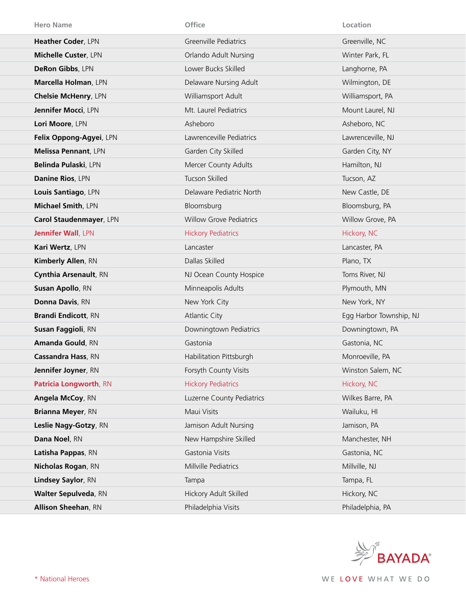| <b>Hero Name</b>            | Office                         | Location                |
|-----------------------------|--------------------------------|-------------------------|
| Heather Coder, LPN          | Greenville Pediatrics          | Greenville, NC          |
| Michelle Custer, LPN        | Orlando Adult Nursing          | Winter Park, FL         |
| DeRon Gibbs, LPN            | Lower Bucks Skilled            | Langhorne, PA           |
| Marcella Holman, LPN        | Delaware Nursing Adult         | Wilmington, DE          |
| <b>Chelsie McHenry, LPN</b> | Williamsport Adult             | Williamsport, PA        |
| Jennifer Mocci, LPN         | Mt. Laurel Pediatrics          | Mount Laurel, NJ        |
| Lori Moore, LPN             | Asheboro                       | Asheboro, NC            |
| Felix Oppong-Agyei, LPN     | Lawrenceville Pediatrics       | Lawrenceville, NJ       |
| Melissa Pennant, LPN        | Garden City Skilled            | Garden City, NY         |
| Belinda Pulaski, LPN        | Mercer County Adults           | Hamilton, NJ            |
| Danine Rios, LPN            | Tucson Skilled                 | Tucson, AZ              |
| Louis Santiago, LPN         | Delaware Pediatric North       | New Castle, DE          |
| Michael Smith, LPN          | Bloomsburg                     | Bloomsburg, PA          |
| Carol Staudenmayer, LPN     | <b>Willow Grove Pediatrics</b> | Willow Grove, PA        |
| <b>Jennifer Wall, LPN</b>   | <b>Hickory Pediatrics</b>      | Hickory, NC             |
| Kari Wertz, LPN             | Lancaster                      | Lancaster, PA           |
| Kimberly Allen, RN          | Dallas Skilled                 | Plano, TX               |
| Cynthia Arsenault, RN       | NJ Ocean County Hospice        | Toms River, NJ          |
| Susan Apollo, RN            | Minneapolis Adults             | Plymouth, MN            |
| Donna Davis, RN             | New York City                  | New York, NY            |
| <b>Brandi Endicott, RN</b>  | <b>Atlantic City</b>           | Egg Harbor Township, NJ |
| Susan Faggioli, RN          | Downingtown Pediatrics         | Downingtown, PA         |
| Amanda Gould, RN            | Gastonia                       | Gastonia, NC            |
| <b>Cassandra Hass, RN</b>   | Habilitation Pittsburgh        | Monroeville, PA         |
| Jennifer Joyner, RN         | Forsyth County Visits          | Winston Salem, NC       |
| Patricia Longworth, RN      | <b>Hickory Pediatrics</b>      | Hickory, NC             |
| Angela McCoy, RN            | Luzerne County Pediatrics      | Wilkes Barre, PA        |
| Brianna Meyer, RN           | Maui Visits                    | Wailuku, HI             |
| Leslie Nagy-Gotzy, RN       | Jamison Adult Nursing          | Jamison, PA             |
| Dana Noel, RN               | New Hampshire Skilled          | Manchester, NH          |
| Latisha Pappas, RN          | Gastonia Visits                | Gastonia, NC            |
| <b>Nicholas Rogan, RN</b>   | Millville Pediatrics           | Millville, NJ           |
| Lindsey Saylor, RN          | Tampa                          | Tampa, FL               |
| <b>Walter Sepulveda, RN</b> | Hickory Adult Skilled          | Hickory, NC             |
| <b>Allison Sheehan, RN</b>  | Philadelphia Visits            | Philadelphia, PA        |